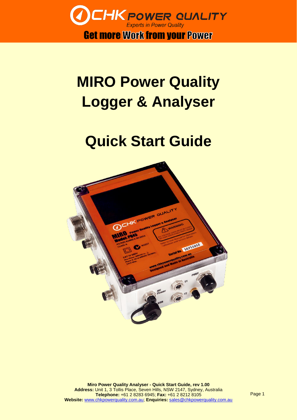

## **MIRO Power Quality Logger & Analyser**

## **Quick Start Guide**

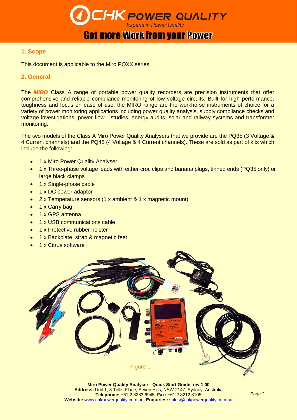

#### Get more Work from your Power

#### **1. Scope**

This document is applicable to the Miro PQXX series.

#### **2. General**

The *MIRO* Class A range of portable power quality recorders are precision instruments that offer comprehensive and reliable compliance monitoring of low voltage circuits. Built for high performance, toughness and focus on ease of use, the MIRO range are the workhorse instruments of choice for a variety of power monitoring applications including power quality analysis, supply compliance checks and voltage investigations, power flow studies, energy audits, solar and railway systems and transformer monitoring.

The two models of the Class A Miro Power Quality Analysers that we provide are the PQ35 (3 Voltage & 4 Current channels) and the PQ45 (4 Voltage & 4 Current channels). These are sold as part of kits which include the following:

- 1 x Miro Power Quality Analyser
- 1 x Three-phase voltage leads with either croc clips and banana plugs, tinned ends (PQ35 only) or large black clamps
- 1 x Single-phase cable
- 1 x DC power adaptor
- 2 x Temperature sensors (1 x ambient & 1 x magnetic mount)
- 1 x Carry bag
- 1 x GPS antenna
- 1 x USB communications cable
- 1 x Protective rubber holster
- 1 x Backplate, strap & magnetic feet
- 1 x Citrus software

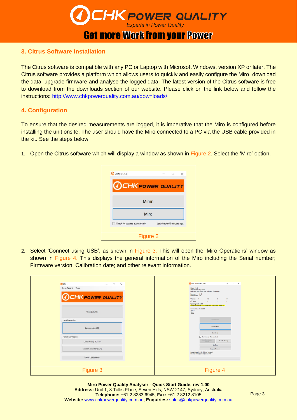

#### **3. Citrus Software Installation**

The Citrus software is compatible with any PC or Laptop with Microsoft Windows, version XP or later. The Citrus software provides a platform which allows users to quickly and easily configure the Miro, download the data, upgrade firmware and analyse the logged data. The latest version of the Citrus software is free to download from the downloads section of our website. Please click on the link below and follow the instructions: <http://www.chkpowerquality.com.au/downloads/>

#### **4. Configuration**

To ensure that the desired measurements are logged, it is imperative that the Miro is configured before installing the unit onsite. The user should have the Miro connected to a PC via the USB cable provided in the kit. See the steps below:

1. Open the Citrus software which will display a window as shown in Figure 2. Select the 'Miro' option.



2. Select 'Connect using USB', as shown in Figure 3. This will open the 'Miro Operations' window as shown in Figure 4. This displays the general information of the Miro including the Serial number; Firmware version; Calibration date; and other relevant information.

| <b>O</b> Miro<br>$\Box$<br>$\times$<br>$\sim$<br>Open Recent Tools<br><b>OCHK POWER QUALITY</b> | Miro Operations (USB)<br>$ \Box$ $\times$<br>Model: PQ45<br>Serial Number: 17835016<br>Calibration state: Good. Last calibrated 39 days ago<br>Firmware: 2.10<br>Boot Counter: 95<br>Channel: IA<br><b>IC</b><br>IB<br>$\mathbb{N}$<br>CT Types: -<br><b>Contractor</b><br>$\sim$<br>Operating mode: USB |
|-------------------------------------------------------------------------------------------------|----------------------------------------------------------------------------------------------------------------------------------------------------------------------------------------------------------------------------------------------------------------------------------------------------------|
| Open Data File                                                                                  | Logging status: Off (USB Mode). Will start on next power up.<br>Comms status: IP: 0.0.0.0<br>DNS:<br>Type: -<br>Signal:                                                                                                                                                                                  |
| Local Connection<br>Connect using USB                                                           | Online Monitor<br>Configuration<br>Download                                                                                                                                                                                                                                                              |
| Remote Connection<br>Connect using TCP/IP                                                       | Clear memory after download<br>Clear Downloaded<br>Clear All Memory<br>Potion<br>Set Time                                                                                                                                                                                                                |
| Secure Connection (SSH)<br>Offline Configuration                                                | Upgrade Firmware<br>Logged data: 0.3 MB (0.0% of capacity)<br>Download time (estimate): 0 seconds                                                                                                                                                                                                        |
| Figure 3                                                                                        | Figure 4                                                                                                                                                                                                                                                                                                 |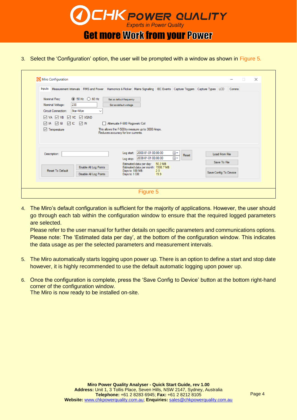

**Get more Work from your Power** 

3. Select the 'Configuration' option, the user will be prompted with a window as shown in Figure 5.

| Miro Configuration                                                                                                                           |                                                                                                                                               |                                                                                                                                                                                                    |                   |                                                                | $\Box$ | $\times$ |
|----------------------------------------------------------------------------------------------------------------------------------------------|-----------------------------------------------------------------------------------------------------------------------------------------------|----------------------------------------------------------------------------------------------------------------------------------------------------------------------------------------------------|-------------------|----------------------------------------------------------------|--------|----------|
|                                                                                                                                              |                                                                                                                                               | Inputs Measurement Intervals RMS and Power Hamnonics & Flicker Mains Signalling IEC Events Capture Triggers Capture Types LCD Comms                                                                |                   |                                                                |        |          |
| Nominal Freq:<br>230<br>Nominal Voltage:<br>Circuit Connection:<br>$\boxdot$ VA $\boxdot$ VB<br>$\Box$ IA $\Box$ IB<br>$\sqrt{}$ Temperature | $\circledcirc$ 50 Hz $\circledcirc$ 60 Hz<br>Star/Wye<br>$\checkmark$<br>$\boxdot$ VC $\boxdot$ VGND<br>$\triangledown$ IC $\triangledown$ IN | Set as default frequency<br>Set as default voltage<br>Attenuate F-500 Rogowski Coil<br>This allows the F-500 to measure up to 3000 Amps.<br>Reduces accuracy for low currents.                     |                   |                                                                |        |          |
| Description:<br><b>Reset To Default</b>                                                                                                      | Enable All Log Points<br>Disable All Log Points                                                                                               | 2000-01-01 00:00:00<br>Log start:<br>2038-01-01 00:00:00<br>Log stop:<br>Estimated data per day: 50.2 MB<br>Estimated data per month: 1506.7 MB<br>Days to 100 MB:<br>2.0<br>19.9<br>Days to 1 GB: | ▥▾<br>Reset<br>⋒∙ | <b>Load From File</b><br>Save To File<br>Save Config To Device |        |          |
|                                                                                                                                              |                                                                                                                                               |                                                                                                                                                                                                    |                   |                                                                |        |          |

4. The Miro's default configuration is sufficient for the majority of applications. However, the user should go through each tab within the configuration window to ensure that the required logged parameters are selected.

Please refer to the user manual for further details on specific parameters and communications options. Please note: The 'Estimated data per day', at the bottom of the configuration window. This indicates the data usage as per the selected parameters and measurement intervals.

- 5. The Miro automatically starts logging upon power up. There is an option to define a start and stop date however, it is highly recommended to use the default automatic logging upon power up.
- 6. Once the configuration is complete, press the 'Save Config to Device' button at the bottom right-hand corner of the configuration window. The Miro is now ready to be installed on-site.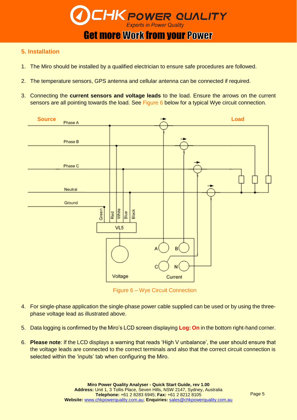

**Get more Work from your Power** 

#### **5. Installation**

- 1. The Miro should be installed by a qualified electrician to ensure safe procedures are followed.
- 2. The temperature sensors, GPS antenna and cellular antenna can be connected if required.
- 3. Connecting the **current sensors and voltage leads** to the load. Ensure the arrows on the current sensors are all pointing towards the load. See Figure 6 below for a typical Wye circuit connection.



Figure 6 – Wye Circuit Connection

- 4. For single-phase application the single-phase power cable supplied can be used or by using the threephase voltage lead as illustrated above.
- 5. Data logging is confirmed by the Miro's LCD screen displaying **Log: On** in the bottom right-hand corner.
- 6. **Please note**: If the LCD displays a warning that reads 'High V unbalance', the user should ensure that the voltage leads are connected to the correct terminals and also that the correct circuit connection is selected within the 'inputs' tab when configuring the Miro.